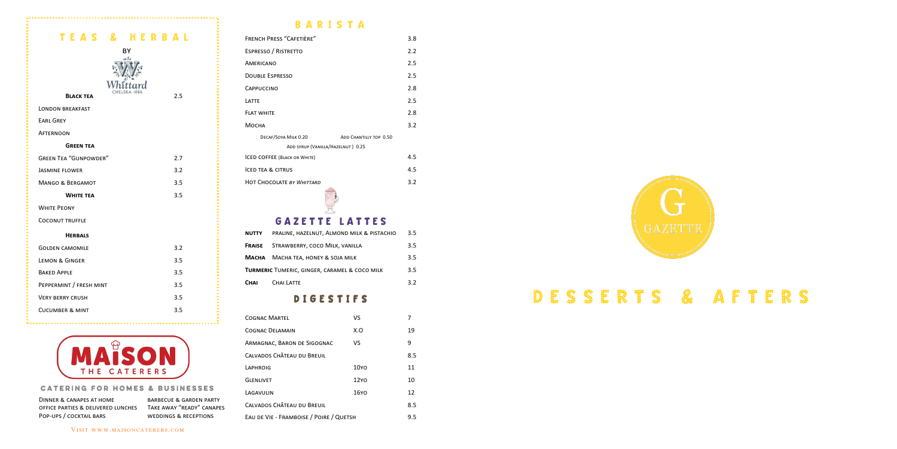

| TEAS & HERBAL                |     |
|------------------------------|-----|
| BY                           |     |
|                              |     |
|                              |     |
| <b>BLACK TEA</b>             | 2.5 |
| <b>LONDON BREAKFAST</b>      |     |
| <b>EARL GREY</b>             |     |
| <b>AFTERNOON</b>             |     |
| <b>GREEN TEA</b>             |     |
| <b>GREEN TEA "GUNPOWDER"</b> | 2.7 |
| <b>JASMINE FLOWER</b>        | 3.2 |
| <b>MANGO &amp; BERGAMOT</b>  | 3.5 |
| <b>WHITE TEA</b>             | 3.5 |
| <b>WHITE PEONY</b>           |     |
| <b>COCONUT TRUFFLE</b>       |     |
| <b>HERBALS</b>               |     |
| <b>GOLDEN CAMOMILE</b>       | 3.2 |
| <b>LEMON &amp; GINGER</b>    | 3.5 |
| <b>BAKED APPLE</b>           | 3.5 |
| PEPPERMINT / FRESH MINT      | 3.5 |
| <b>VERY BERRY CRUSH</b>      | 3.5 |
| <b>CUCUMBER &amp; MINT</b>   | 3.5 |



### **CATERING FOR HOMES & BUSINESSES**

DINNER & CANAPES AT HOME BARBECUE & GARDEN PARTY office parties & delivered lunches Take away "ready" canapes POP-UPS / COCKTAIL BARS WEDDINGS & RECEPTIONS

## **BARISTA**

| <b>FRENCH PRESS "CAFETIÈRE"</b>                | 3.8 |  |
|------------------------------------------------|-----|--|
| ESPRESSO / RISTRETTO                           | 2.2 |  |
| AMERICANO                                      | 2.5 |  |
| <b>DOUBLE ESPRESSO</b>                         | 2.5 |  |
| CAPPUCCINO                                     | 2.8 |  |
| LATTE                                          | 2.5 |  |
| <b>FLAT WHITE</b>                              | 2.8 |  |
| Мосна                                          | 3.2 |  |
| DECAF/SOYA MILK 0.20<br>ADD CHANTILLY TOP 0.50 |     |  |
| ADD SYRUP (VANILLA/HAZELNUT) 0.25              |     |  |
| <b>ICED COFFEE (BLACK OR WHITE)</b>            | 4.5 |  |
| <b>ICED TEA &amp; CITRUS</b>                   | 4.5 |  |
| <b>HOT CHOCOLATE BY WHITTARD</b>               | 3.2 |  |

# GAZETTE LATTES

| <b>NUTTY</b>                                  | PRALINE, HAZELNUT, ALMOND MILK & PISTACHIO | 3.5 |
|-----------------------------------------------|--------------------------------------------|-----|
| Fraise                                        | STRAWBERRY, COCO MILK, VANILLA             | 3.5 |
|                                               | <b>MACHA</b> MACHA TEA, HONEY & SOJA MILK  | 3.5 |
| TURMERIC TUMERIC, GINGER, CARAMEL & COCO MILK |                                            | 3.5 |
| Снаг                                          | CHAI LATTE                                 | 3.2 |

### D I G E S T I F S

| <b>COGNAC MARTEL</b>                    | VS               | 7   |
|-----------------------------------------|------------------|-----|
| <b>COGNAC DELAMAIN</b>                  | X.O              | 19  |
| ARMAGNAC, BARON DE SIGOGNAC             | VS               | 9   |
| CALVADOS CHÂTEAU DU BREUIL              |                  | 8.5 |
| LAPHROIG                                | 10YO             | 11  |
| <b>GLENLIVET</b>                        | 12YO             | 10  |
| LAGAVULIN                               | 16Y <sub>O</sub> | 12  |
| CALVADOS CHÂTEAU DU BREUIL              |                  | 8.5 |
| EAU DE VIE - FRAMBOISE / POIRE / QUETSH |                  | 9.5 |



VISIT WWW.MAISONCATERERS.COM